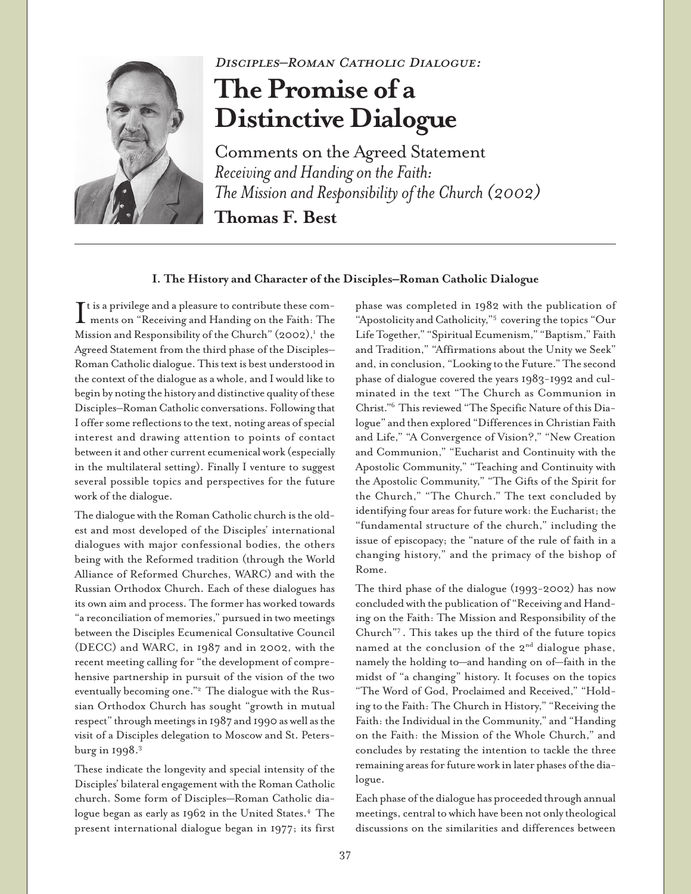

## Disciples–Roman Catholic Dialogue:

# **The Promise of a Distinctive Dialogue**

Comments on the Agreed Statement *Receiving and Handing on the Faith: The Mission and Responsibility of the Church (2002)*

**Thomas F. Best**

## **I. The History and Character of the Disciples–Roman Catholic Dialogue**

 $\prod$ t is a privilege and a pleasure to contribute these com-<br>ments on "Receiving and Handing on the Faith: The ments on "Receiving and Handing on the Faith: The Mission and Responsibility of the Church" (2002), $^1$  the Agreed Statement from the third phase of the Disciples– Roman Catholic dialogue. This text is best understood in the context of the dialogue as a whole, and I would like to begin by noting the history and distinctive quality of these Disciples–Roman Catholic conversations. Following that I offer some reflections to the text, noting areas of special interest and drawing attention to points of contact between it and other current ecumenical work (especially in the multilateral setting). Finally I venture to suggest several possible topics and perspectives for the future work of the dialogue.

The dialogue with the Roman Catholic church is the oldest and most developed of the Disciples' international dialogues with major confessional bodies, the others being with the Reformed tradition (through the World Alliance of Reformed Churches, WARC) and with the Russian Orthodox Church. Each of these dialogues has its own aim and process. The former has worked towards "a reconciliation of memories," pursued in two meetings between the Disciples Ecumenical Consultative Council (DECC) and WARC, in 1987 and in 2002, with the recent meeting calling for "the development of comprehensive partnership in pursuit of the vision of the two eventually becoming one."2 The dialogue with the Russian Orthodox Church has sought "growth in mutual respect" through meetings in 1987 and 1990 as well as the visit of a Disciples delegation to Moscow and St. Petersburg in 1998.3

These indicate the longevity and special intensity of the Disciples' bilateral engagement with the Roman Catholic church. Some form of Disciples—Roman Catholic dialogue began as early as 1962 in the United States.<sup>4</sup> The present international dialogue began in 1977; its first

phase was completed in 1982 with the publication of "Apostolicity and Catholicity,"5 covering the topics "Our Life Together," "Spiritual Ecumenism," "Baptism," Faith and Tradition," "Affirmations about the Unity we Seek" and, in conclusion, "Looking to the Future." The second phase of dialogue covered the years 1983-1992 and culminated in the text "The Church as Communion in Christ."6 This reviewed "The Specific Nature of this Dialogue" and then explored "Differences in Christian Faith and Life," "A Convergence of Vision?," "New Creation and Communion," "Eucharist and Continuity with the Apostolic Community," "Teaching and Continuity with the Apostolic Community," "The Gifts of the Spirit for the Church," "The Church." The text concluded by identifying four areas for future work: the Eucharist; the "fundamental structure of the church," including the issue of episcopacy; the "nature of the rule of faith in a changing history," and the primacy of the bishop of Rome.

The third phase of the dialogue (1993-2002) has now concluded with the publication of "Receiving and Handing on the Faith: The Mission and Responsibility of the Church"7 . This takes up the third of the future topics named at the conclusion of the  $2<sup>nd</sup>$  dialogue phase, namely the holding to—and handing on of—faith in the midst of "a changing" history. It focuses on the topics "The Word of God, Proclaimed and Received," "Holding to the Faith: The Church in History," "Receiving the Faith: the Individual in the Community," and "Handing on the Faith: the Mission of the Whole Church," and concludes by restating the intention to tackle the three remaining areas for future work in later phases of the dialogue.

Each phase of the dialogue has proceeded through annual meetings, central to which have been not only theological discussions on the similarities and differences between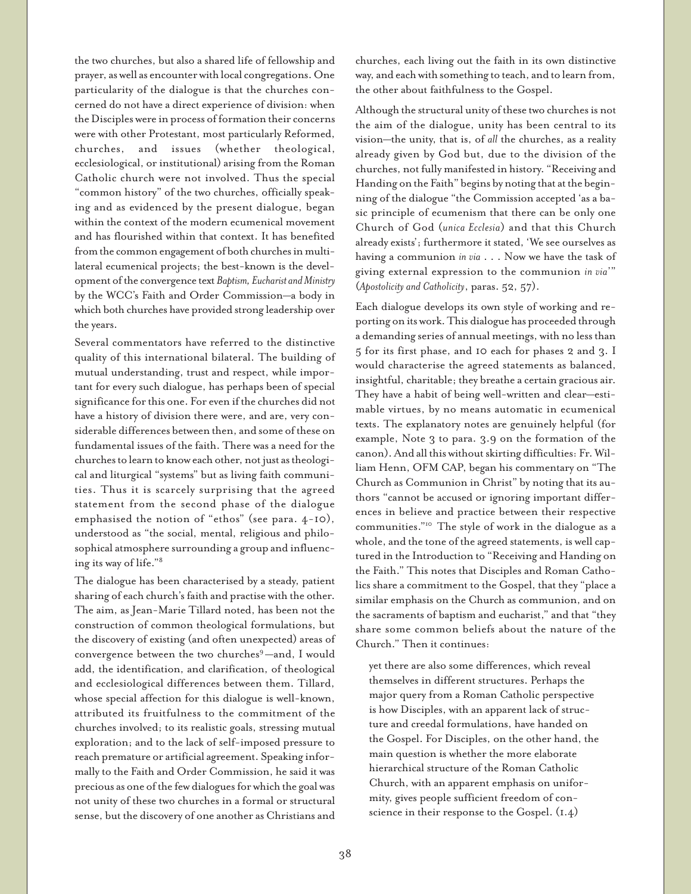the two churches, but also a shared life of fellowship and prayer, as well as encounter with local congregations. One particularity of the dialogue is that the churches concerned do not have a direct experience of division: when the Disciples were in process of formation their concerns were with other Protestant, most particularly Reformed, churches, and issues (whether theological, ecclesiological, or institutional) arising from the Roman Catholic church were not involved. Thus the special "common history" of the two churches, officially speaking and as evidenced by the present dialogue, began within the context of the modern ecumenical movement and has flourished within that context. It has benefited from the common engagement of both churches in multilateral ecumenical projects; the best-known is the development of the convergence text *Baptism, Eucharist and Ministry* by the WCC's Faith and Order Commission—a body in which both churches have provided strong leadership over the years.

Several commentators have referred to the distinctive quality of this international bilateral. The building of mutual understanding, trust and respect, while important for every such dialogue, has perhaps been of special significance for this one. For even if the churches did not have a history of division there were, and are, very considerable differences between then, and some of these on fundamental issues of the faith. There was a need for the churches to learn to know each other, not just as theological and liturgical "systems" but as living faith communities. Thus it is scarcely surprising that the agreed statement from the second phase of the dialogue emphasised the notion of "ethos" (see para. 4-10), understood as "the social, mental, religious and philosophical atmosphere surrounding a group and influencing its way of life."8

The dialogue has been characterised by a steady, patient sharing of each church's faith and practise with the other. The aim, as Jean-Marie Tillard noted, has been not the construction of common theological formulations, but the discovery of existing (and often unexpected) areas of convergence between the two churches<sup>9</sup>—and, I would add, the identification, and clarification, of theological and ecclesiological differences between them. Tillard, whose special affection for this dialogue is well-known, attributed its fruitfulness to the commitment of the churches involved; to its realistic goals, stressing mutual exploration; and to the lack of self-imposed pressure to reach premature or artificial agreement. Speaking informally to the Faith and Order Commission, he said it was precious as one of the few dialogues for which the goal was not unity of these two churches in a formal or structural sense, but the discovery of one another as Christians and

churches, each living out the faith in its own distinctive way, and each with something to teach, and to learn from, the other about faithfulness to the Gospel.

Although the structural unity of these two churches is not the aim of the dialogue, unity has been central to its vision—the unity, that is, of *all* the churches, as a reality already given by God but, due to the division of the churches, not fully manifested in history. "Receiving and Handing on the Faith" begins by noting that at the beginning of the dialogue "the Commission accepted 'as a basic principle of ecumenism that there can be only one Church of God (*unica Ecclesia*) and that this Church already exists'; furthermore it stated, 'We see ourselves as having a communion *in via* . . . Now we have the task of giving external expression to the communion *in via*'" (*Apostolicity and Catholicity*, paras. 52, 57).

Each dialogue develops its own style of working and reporting on its work. This dialogue has proceeded through a demanding series of annual meetings, with no less than 5 for its first phase, and 10 each for phases 2 and 3. I would characterise the agreed statements as balanced, insightful, charitable; they breathe a certain gracious air. They have a habit of being well-written and clear—estimable virtues, by no means automatic in ecumenical texts. The explanatory notes are genuinely helpful (for example, Note 3 to para. 3.9 on the formation of the canon). And all this without skirting difficulties: Fr. William Henn, OFM CAP, began his commentary on "The Church as Communion in Christ" by noting that its authors "cannot be accused or ignoring important differences in believe and practice between their respective communities."10 The style of work in the dialogue as a whole, and the tone of the agreed statements, is well captured in the Introduction to "Receiving and Handing on the Faith." This notes that Disciples and Roman Catholics share a commitment to the Gospel, that they "place a similar emphasis on the Church as communion, and on the sacraments of baptism and eucharist," and that "they share some common beliefs about the nature of the Church." Then it continues:

yet there are also some differences, which reveal themselves in different structures. Perhaps the major query from a Roman Catholic perspective is how Disciples, with an apparent lack of structure and creedal formulations, have handed on the Gospel. For Disciples, on the other hand, the main question is whether the more elaborate hierarchical structure of the Roman Catholic Church, with an apparent emphasis on uniformity, gives people sufficient freedom of conscience in their response to the Gospel. (1.4)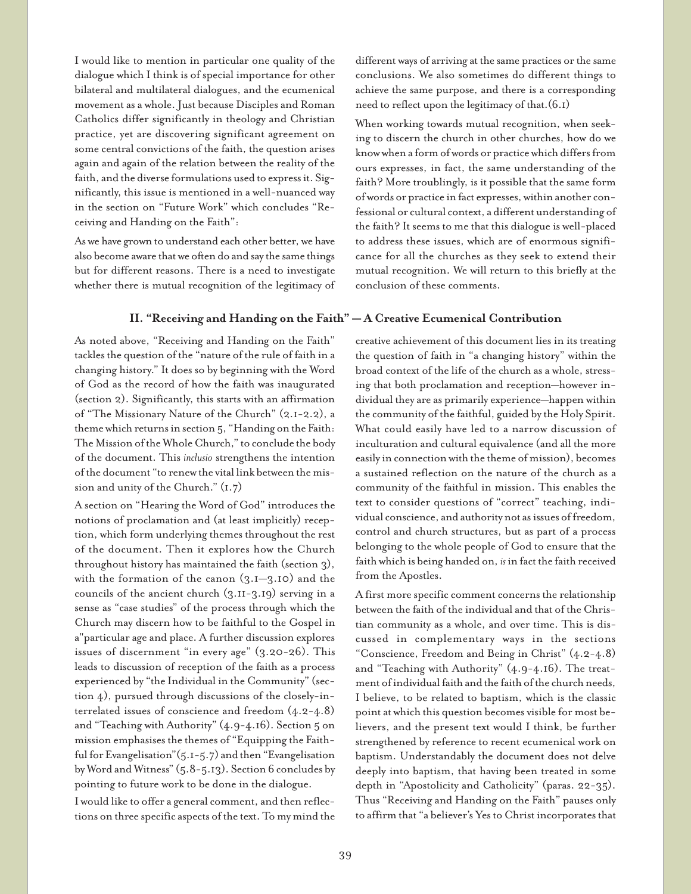I would like to mention in particular one quality of the dialogue which I think is of special importance for other bilateral and multilateral dialogues, and the ecumenical movement as a whole. Just because Disciples and Roman Catholics differ significantly in theology and Christian practice, yet are discovering significant agreement on some central convictions of the faith, the question arises again and again of the relation between the reality of the faith, and the diverse formulations used to express it. Significantly, this issue is mentioned in a well-nuanced way in the section on "Future Work" which concludes "Receiving and Handing on the Faith":

As we have grown to understand each other better, we have also become aware that we often do and say the same things but for different reasons. There is a need to investigate whether there is mutual recognition of the legitimacy of different ways of arriving at the same practices or the same conclusions. We also sometimes do different things to achieve the same purpose, and there is a corresponding need to reflect upon the legitimacy of that.(6.1)

When working towards mutual recognition, when seeking to discern the church in other churches, how do we know when a form of words or practice which differs from ours expresses, in fact, the same understanding of the faith? More troublingly, is it possible that the same form of words or practice in fact expresses, within another confessional or cultural context, a different understanding of the faith? It seems to me that this dialogue is well-placed to address these issues, which are of enormous significance for all the churches as they seek to extend their mutual recognition. We will return to this briefly at the conclusion of these comments.

### **II. "Receiving and Handing on the Faith" — A Creative Ecumenical Contribution**

As noted above, "Receiving and Handing on the Faith" tackles the question of the "nature of the rule of faith in a changing history." It does so by beginning with the Word of God as the record of how the faith was inaugurated (section 2). Significantly, this starts with an affirmation of "The Missionary Nature of the Church" (2.1-2.2), a theme which returns in section 5, "Handing on the Faith: The Mission of the Whole Church," to conclude the body of the document. This *inclusio* strengthens the intention of the document "to renew the vital link between the mission and unity of the Church." (1.7)

A section on "Hearing the Word of God" introduces the notions of proclamation and (at least implicitly) reception, which form underlying themes throughout the rest of the document. Then it explores how the Church throughout history has maintained the faith (section 3), with the formation of the canon (3.1—3.10) and the councils of the ancient church (3.11-3.19) serving in a sense as "case studies" of the process through which the Church may discern how to be faithful to the Gospel in a"particular age and place. A further discussion explores issues of discernment "in every age" (3.20-26). This leads to discussion of reception of the faith as a process experienced by "the Individual in the Community" (section 4), pursued through discussions of the closely-interrelated issues of conscience and freedom (4.2-4.8) and "Teaching with Authority" (4.9-4.16). Section 5 on mission emphasises the themes of "Equipping the Faithful for Evangelisation"(5.1-5.7) and then "Evangelisation by Word and Witness" (5.8-5.13). Section 6 concludes by pointing to future work to be done in the dialogue.

I would like to offer a general comment, and then reflections on three specific aspects of the text. To my mind the creative achievement of this document lies in its treating the question of faith in "a changing history" within the broad context of the life of the church as a whole, stressing that both proclamation and reception—however individual they are as primarily experience—happen within the community of the faithful, guided by the Holy Spirit. What could easily have led to a narrow discussion of inculturation and cultural equivalence (and all the more easily in connection with the theme of mission), becomes a sustained reflection on the nature of the church as a community of the faithful in mission. This enables the text to consider questions of "correct" teaching, individual conscience, and authority not as issues of freedom, control and church structures, but as part of a process belonging to the whole people of God to ensure that the faith which is being handed on, *is* in fact the faith received from the Apostles.

A first more specific comment concerns the relationship between the faith of the individual and that of the Christian community as a whole, and over time. This is discussed in complementary ways in the sections "Conscience, Freedom and Being in Christ" (4.2-4.8) and "Teaching with Authority" (4.9-4.16). The treatment of individual faith and the faith of the church needs, I believe, to be related to baptism, which is the classic point at which this question becomes visible for most believers, and the present text would I think, be further strengthened by reference to recent ecumenical work on baptism. Understandably the document does not delve deeply into baptism, that having been treated in some depth in "Apostolicity and Catholicity" (paras. 22-35). Thus "Receiving and Handing on the Faith" pauses only to affirm that "a believer's Yes to Christ incorporates that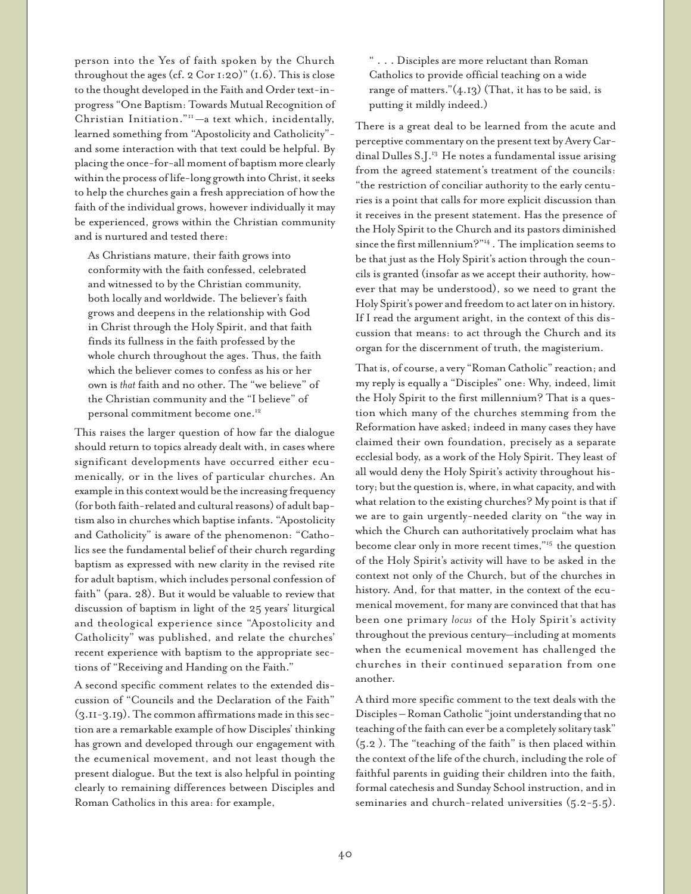person into the Yes of faith spoken by the Church throughout the ages (cf. 2  $Cor I:20$ )" (1.6). This is close to the thought developed in the Faith and Order text-inprogress "One Baptism: Towards Mutual Recognition of Christian Initiation."<sup>11</sup> —a text which, incidentally, learned something from "Apostolicity and Catholicity" and some interaction with that text could be helpful. By placing the once-for-all moment of baptism more clearly within the process of life-long growth into Christ, it seeks to help the churches gain a fresh appreciation of how the faith of the individual grows, however individually it may be experienced, grows within the Christian community and is nurtured and tested there:

As Christians mature, their faith grows into conformity with the faith confessed, celebrated and witnessed to by the Christian community, both locally and worldwide. The believer's faith grows and deepens in the relationship with God in Christ through the Holy Spirit, and that faith finds its fullness in the faith professed by the whole church throughout the ages. Thus, the faith which the believer comes to confess as his or her own is *that* faith and no other. The "we believe" of the Christian community and the "I believe" of personal commitment become one.12

This raises the larger question of how far the dialogue should return to topics already dealt with, in cases where significant developments have occurred either ecumenically, or in the lives of particular churches. An example in this context would be the increasing frequency (for both faith-related and cultural reasons) of adult baptism also in churches which baptise infants. "Apostolicity and Catholicity" is aware of the phenomenon: "Catholics see the fundamental belief of their church regarding baptism as expressed with new clarity in the revised rite for adult baptism, which includes personal confession of faith" (para. 28). But it would be valuable to review that discussion of baptism in light of the 25 years' liturgical and theological experience since "Apostolicity and Catholicity" was published, and relate the churches' recent experience with baptism to the appropriate sections of "Receiving and Handing on the Faith."

A second specific comment relates to the extended discussion of "Councils and the Declaration of the Faith" (3.11-3.19). The common affirmations made in this section are a remarkable example of how Disciples' thinking has grown and developed through our engagement with the ecumenical movement, and not least though the present dialogue. But the text is also helpful in pointing clearly to remaining differences between Disciples and Roman Catholics in this area: for example,

" . . . Disciples are more reluctant than Roman Catholics to provide official teaching on a wide range of matters." $(4.13)$  (That, it has to be said, is putting it mildly indeed.)

There is a great deal to be learned from the acute and perceptive commentary on the present text by Avery Cardinal Dulles S.J.<sup>13</sup> He notes a fundamental issue arising from the agreed statement's treatment of the councils: "the restriction of conciliar authority to the early centuries is a point that calls for more explicit discussion than it receives in the present statement. Has the presence of the Holy Spirit to the Church and its pastors diminished since the first millennium?"14 . The implication seems to be that just as the Holy Spirit's action through the councils is granted (insofar as we accept their authority, however that may be understood), so we need to grant the Holy Spirit's power and freedom to act later on in history. If I read the argument aright, in the context of this discussion that means: to act through the Church and its organ for the discernment of truth, the magisterium.

That is, of course, a very "Roman Catholic" reaction; and my reply is equally a "Disciples" one: Why, indeed, limit the Holy Spirit to the first millennium? That is a question which many of the churches stemming from the Reformation have asked; indeed in many cases they have claimed their own foundation, precisely as a separate ecclesial body, as a work of the Holy Spirit. They least of all would deny the Holy Spirit's activity throughout history; but the question is, where, in what capacity, and with what relation to the existing churches? My point is that if we are to gain urgently-needed clarity on "the way in which the Church can authoritatively proclaim what has become clear only in more recent times,"15 the question of the Holy Spirit's activity will have to be asked in the context not only of the Church, but of the churches in history. And, for that matter, in the context of the ecumenical movement, for many are convinced that that has been one primary *locus* of the Holy Spirit's activity throughout the previous century—including at moments when the ecumenical movement has challenged the churches in their continued separation from one another.

A third more specific comment to the text deals with the Disciples – Roman Catholic "joint understanding that no teaching of the faith can ever be a completely solitary task" (5.2 ). The "teaching of the faith" is then placed within the context of the life of the church, including the role of faithful parents in guiding their children into the faith, formal catechesis and Sunday School instruction, and in seminaries and church-related universities  $(5.2-5.5)$ .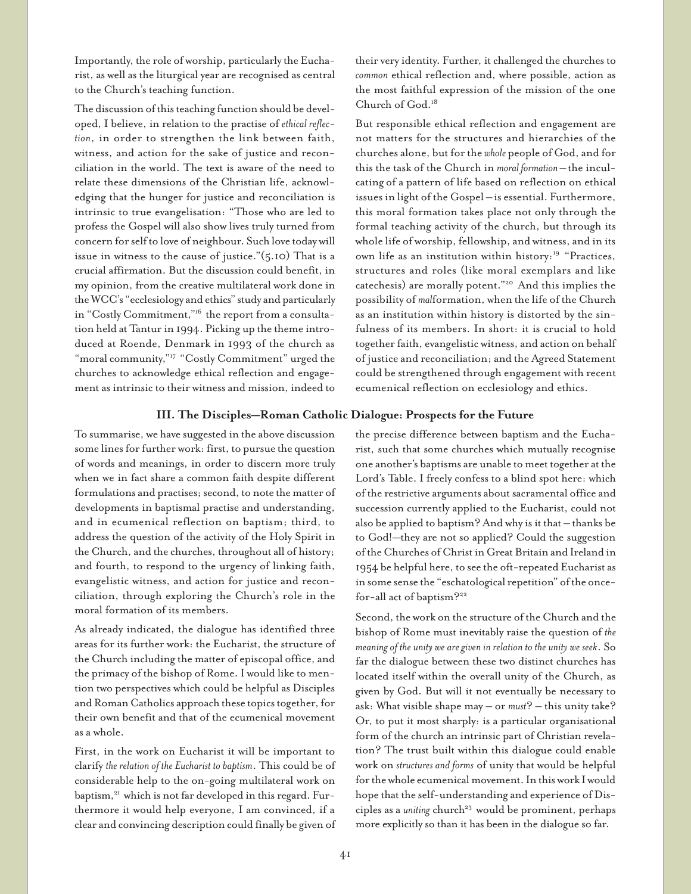Importantly, the role of worship, particularly the Eucharist, as well as the liturgical year are recognised as central to the Church's teaching function.

The discussion of this teaching function should be developed, I believe, in relation to the practise of *ethical reflection*, in order to strengthen the link between faith, witness, and action for the sake of justice and reconciliation in the world. The text is aware of the need to relate these dimensions of the Christian life, acknowledging that the hunger for justice and reconciliation is intrinsic to true evangelisation: "Those who are led to profess the Gospel will also show lives truly turned from concern for self to love of neighbour. Such love today will issue in witness to the cause of justice." $(5.10)$  That is a crucial affirmation. But the discussion could benefit, in my opinion, from the creative multilateral work done in the WCC's "ecclesiology and ethics" study and particularly in "Costly Commitment,"16 the report from a consultation held at Tantur in 1994. Picking up the theme introduced at Roende, Denmark in 1993 of the church as "moral community,"<sup>17</sup> "Costly Commitment" urged the churches to acknowledge ethical reflection and engagement as intrinsic to their witness and mission, indeed to

### **III. The Disciples—Roman Catholic Dialogue: Prospects for the Future**

To summarise, we have suggested in the above discussion some lines for further work: first, to pursue the question of words and meanings, in order to discern more truly when we in fact share a common faith despite different formulations and practises; second, to note the matter of developments in baptismal practise and understanding, and in ecumenical reflection on baptism; third, to address the question of the activity of the Holy Spirit in the Church, and the churches, throughout all of history; and fourth, to respond to the urgency of linking faith, evangelistic witness, and action for justice and reconciliation, through exploring the Church's role in the moral formation of its members.

As already indicated, the dialogue has identified three areas for its further work: the Eucharist, the structure of the Church including the matter of episcopal office, and the primacy of the bishop of Rome. I would like to mention two perspectives which could be helpful as Disciples and Roman Catholics approach these topics together, for their own benefit and that of the ecumenical movement as a whole.

First, in the work on Eucharist it will be important to clarify *the relation of the Eucharist to baptism*. This could be of considerable help to the on-going multilateral work on baptism,<sup>21</sup> which is not far developed in this regard. Furthermore it would help everyone, I am convinced, if a clear and convincing description could finally be given of their very identity. Further, it challenged the churches to *common* ethical reflection and, where possible, action as the most faithful expression of the mission of the one Church of God.<sup>18</sup>

But responsible ethical reflection and engagement are not matters for the structures and hierarchies of the churches alone, but for the *whole* people of God, and for this the task of the Church in *moral formation –* the inculcating of a pattern of life based on reflection on ethical issues in light of the Gospel –is essential. Furthermore, this moral formation takes place not only through the formal teaching activity of the church, but through its whole life of worship, fellowship, and witness, and in its own life as an institution within history:<sup>19</sup> "Practices, structures and roles (like moral exemplars and like catechesis) are morally potent."20 And this implies the possibility of *mal*formation, when the life of the Church as an institution within history is distorted by the sinfulness of its members. In short: it is crucial to hold together faith, evangelistic witness, and action on behalf of justice and reconciliation; and the Agreed Statement could be strengthened through engagement with recent ecumenical reflection on ecclesiology and ethics.

the precise difference between baptism and the Eucharist, such that some churches which mutually recognise one another's baptisms are unable to meet together at the Lord's Table. I freely confess to a blind spot here: which of the restrictive arguments about sacramental office and succession currently applied to the Eucharist, could not also be applied to baptism? And why is it that – thanks be to God!—they are not so applied? Could the suggestion of the Churches of Christ in Great Britain and Ireland in 1954 be helpful here, to see the oft-repeated Eucharist as in some sense the "eschatological repetition" of the oncefor-all act of baptism?22

Second, the work on the structure of the Church and the bishop of Rome must inevitably raise the question of *the meaning of the unity we are given in relation to the unity we seek*. So far the dialogue between these two distinct churches has located itself within the overall unity of the Church, as given by God. But will it not eventually be necessary to ask: What visible shape may – or *must*? – this unity take? Or, to put it most sharply: is a particular organisational form of the church an intrinsic part of Christian revelation? The trust built within this dialogue could enable work on *structures and forms* of unity that would be helpful for the whole ecumenical movement. In this work I would hope that the self-understanding and experience of Disciples as a *uniting* church<sup>23</sup> would be prominent, perhaps more explicitly so than it has been in the dialogue so far.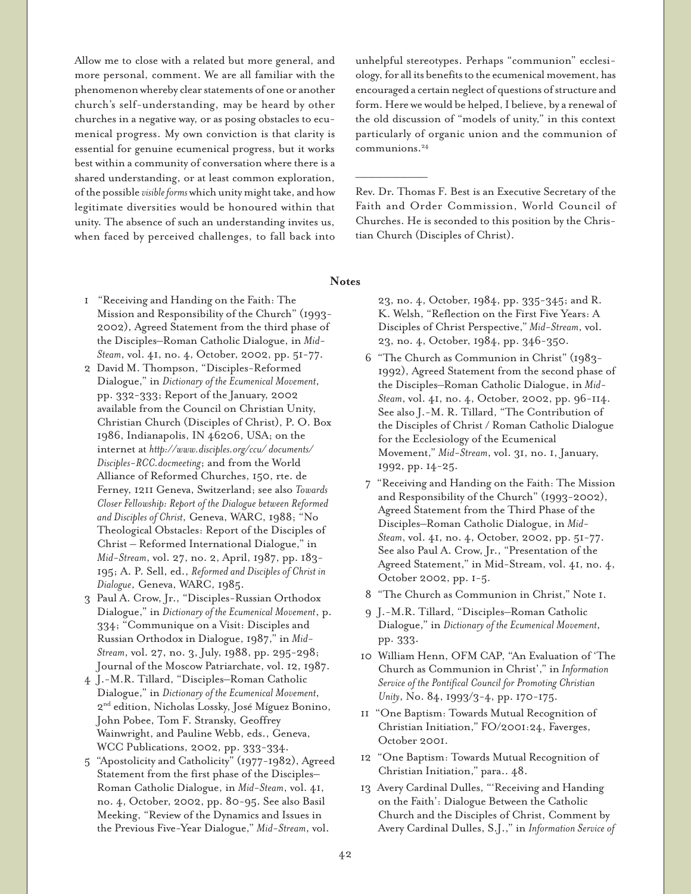Allow me to close with a related but more general, and more personal, comment. We are all familiar with the phenomenon whereby clear statements of one or another church's self-understanding, may be heard by other churches in a negative way, or as posing obstacles to ecumenical progress. My own conviction is that clarity is essential for genuine ecumenical progress, but it works best within a community of conversation where there is a shared understanding, or at least common exploration, of the possible *visible forms* which unity might take, and how legitimate diversities would be honoured within that unity. The absence of such an understanding invites us, when faced by perceived challenges, to fall back into

unhelpful stereotypes. Perhaps "communion" ecclesiology, for all its benefits to the ecumenical movement, has encouraged a certain neglect of questions of structure and form. Here we would be helped, I believe, by a renewal of the old discussion of "models of unity," in this context particularly of organic union and the communion of communions.<sup>24</sup>

Rev. Dr. Thomas F. Best is an Executive Secretary of the Faith and Order Commission, World Council of Churches. He is seconded to this position by the Christian Church (Disciples of Christ).

**Notes**

————————————————

- 1 "Receiving and Handing on the Faith: The Mission and Responsibility of the Church" (1993- 2002), Agreed Statement from the third phase of the Disciples–Roman Catholic Dialogue, in *Mid-Steam*, vol. 41, no. 4, October, 2002, pp. 51-77.
- 2 David M. Thompson, "Disciples-Reformed Dialogue," in *Dictionary of the Ecumenical Movement*, pp. 332-333; Report of the January, 2002 available from the Council on Christian Unity, Christian Church (Disciples of Christ), P. O. Box 1986, Indianapolis, IN 46206, USA; on the internet at *http://www.disciples.org/ccu/ documents/ Disciples-RCC.docmeeting*; and from the World Alliance of Reformed Churches, 150, rte. de Ferney, 1211 Geneva, Switzerland; see also *Towards Closer Fellowship: Report of the Dialogue between Reformed and Disciples of Christ*, Geneva, WARC, 1988; "No Theological Obstacles: Report of the Disciples of Christ – Reformed International Dialogue," in *Mid-Stream*, vol. 27, no. 2, April, 1987, pp. 183- 195; A. P. Sell, ed., *Reformed and Disciples of Christ in Dialogue*, Geneva, WARC, 1985.
- 3 Paul A. Crow, Jr., "Disciples-Russian Orthodox Dialogue," in *Dictionary of the Ecumenical Movement*, p. 334; "Communique on a Visit: Disciples and Russian Orthodox in Dialogue, 1987," in *Mid-Stream*, vol. 27, no. 3, July, 1988, pp. 295-298; Journal of the Moscow Patriarchate, vol. 12, 1987.
- 4 J.-M.R. Tillard, "Disciples–Roman Catholic Dialogue," in *Dictionary of the Ecumenical Movement*, 2nd edition, Nicholas Lossky, José Míguez Bonino, John Pobee, Tom F. Stransky, Geoffrey Wainwright, and Pauline Webb, eds., Geneva, WCC Publications, 2002, pp. 333-334.
- 5 "Apostolicity and Catholicity" (1977-1982), Agreed Statement from the first phase of the Disciples– Roman Catholic Dialogue, in *Mid-Steam*, vol. 41, no. 4, October, 2002, pp. 80-95. See also Basil Meeking, "Review of the Dynamics and Issues in the Previous Five-Year Dialogue," *Mid-Stream*, vol.
- 23, no. 4, October, 1984, pp. 335-345; and R. K. Welsh, "Reflection on the First Five Years: A Disciples of Christ Perspective," *Mid-Stream*, vol. 23, no. 4, October, 1984, pp. 346-350.
- 6 "The Church as Communion in Christ" (1983- 1992), Agreed Statement from the second phase of the Disciples–Roman Catholic Dialogue, in *Mid-Steam*, vol. 41, no. 4, October, 2002, pp. 96-114. See also J.-M. R. Tillard, "The Contribution of the Disciples of Christ / Roman Catholic Dialogue for the Ecclesiology of the Ecumenical Movement," *Mid-Stream*, vol. 31, no. 1, January, 1992, pp. 14-25.
- 7 "Receiving and Handing on the Faith: The Mission and Responsibility of the Church" (1993-2002), Agreed Statement from the Third Phase of the Disciples–Roman Catholic Dialogue, in *Mid-Steam*, vol. 41, no. 4, October, 2002, pp. 51-77. See also Paul A. Crow, Jr., "Presentation of the Agreed Statement," in Mid-Stream, vol. 41, no. 4, October 2002, pp. 1-5.
- 8 "The Church as Communion in Christ," Note 1.
- 9 J.-M.R. Tillard, "Disciples–Roman Catholic Dialogue," in *Dictionary of the Ecumenical Movement*, pp. 333.
- 10 William Henn, OFM CAP, "An Evaluation of 'The Church as Communion in Christ'," in *Information Service of the Pontifical Council for Promoting Christian Unity*, No. 84, 1993/3-4, pp. 170-175.
- 11 "One Baptism: Towards Mutual Recognition of Christian Initiation," FO/2001:24, Faverges, October 2001.
- 12 "One Baptism: Towards Mutual Recognition of Christian Initiation," para.. 48.
- 13 Avery Cardinal Dulles, "'Receiving and Handing on the Faith': Dialogue Between the Catholic Church and the Disciples of Christ, Comment by Avery Cardinal Dulles, S.J.," in *Information Service of*